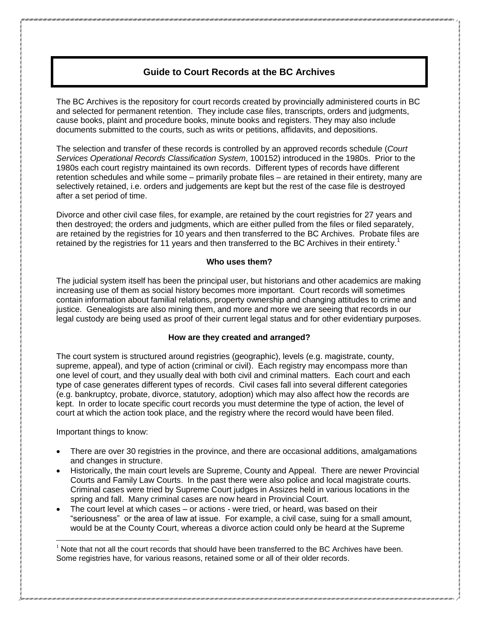# **Guide to Court Records at the BC Archives**

The BC Archives is the repository for court records created by provincially administered courts in BC and selected for permanent retention. They include case files, transcripts, orders and judgments, cause books, plaint and procedure books, minute books and registers. They may also include documents submitted to the courts, such as writs or petitions, affidavits, and depositions.

The selection and transfer of these records is controlled by an approved records schedule (*Court Services Operational Records Classification System*, 100152) introduced in the 1980s. Prior to the 1980s each court registry maintained its own records. Different types of records have different retention schedules and while some – primarily probate files – are retained in their entirety, many are selectively retained, i.e. orders and judgements are kept but the rest of the case file is destroyed after a set period of time.

Divorce and other civil case files, for example, are retained by the court registries for 27 years and then destroyed; the orders and judgments, which are either pulled from the files or filed separately, are retained by the registries for 10 years and then transferred to the BC Archives. Probate files are retained by the registries for 11 years and then transferred to the BC Archives in their entirety.<sup>1</sup>

## **Who uses them?**

The judicial system itself has been the principal user, but historians and other academics are making increasing use of them as social history becomes more important. Court records will sometimes contain information about familial relations, property ownership and changing attitudes to crime and justice. Genealogists are also mining them, and more and more we are seeing that records in our legal custody are being used as proof of their current legal status and for other evidentiary purposes.

## **How are they created and arranged?**

The court system is structured around registries (geographic), levels (e.g. magistrate, county, supreme, appeal), and type of action (criminal or civil). Each registry may encompass more than one level of court, and they usually deal with both civil and criminal matters. Each court and each type of case generates different types of records. Civil cases fall into several different categories (e.g. bankruptcy, probate, divorce, statutory, adoption) which may also affect how the records are kept. In order to locate specific court records you must determine the type of action, the level of court at which the action took place, and the registry where the record would have been filed.

Important things to know:

 $\overline{a}$ 

- There are over 30 registries in the province, and there are occasional additions, amalgamations and changes in structure.
- Historically, the main court levels are Supreme, County and Appeal. There are newer Provincial Courts and Family Law Courts. In the past there were also police and local magistrate courts. Criminal cases were tried by Supreme Court judges in Assizes held in various locations in the spring and fall. Many criminal cases are now heard in Provincial Court.
- The court level at which cases or actions were tried, or heard, was based on their "seriousness" or the area of law at issue. For example, a civil case, suing for a small amount, would be at the County Court, whereas a divorce action could only be heard at the Supreme

 $<sup>1</sup>$  Note that not all the court records that should have been transferred to the BC Archives have been.</sup> Some registries have, for various reasons, retained some or all of their older records.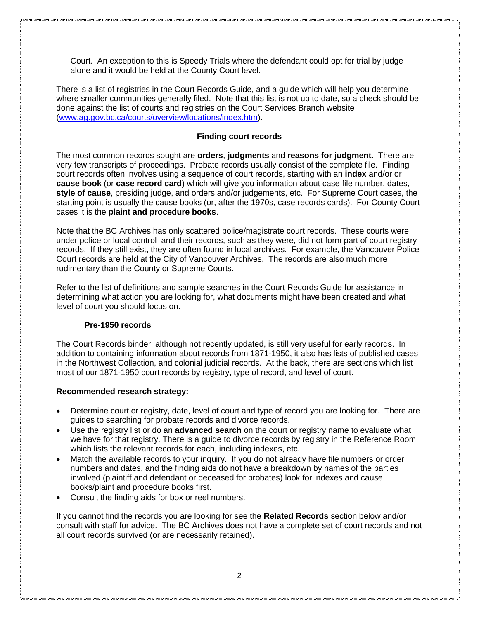Court. An exception to this is Speedy Trials where the defendant could opt for trial by judge alone and it would be held at the County Court level.

There is a list of registries in the Court Records Guide, and a guide which will help you determine where smaller communities generally filed. Note that this list is not up to date, so a check should be done against the list of courts and registries on the Court Services Branch website [\(www.ag.gov.bc.ca/courts/overview/locations/index.htm\)](http://www.ag.gov.bc.ca/courts/overview/locations/index.htm).

#### **Finding court records**

The most common records sought are **orders**, **judgments** and **reasons for judgment**. There are very few transcripts of proceedings. Probate records usually consist of the complete file. Finding court records often involves using a sequence of court records, starting with an **index** and/or or **cause book** (or **case record card**) which will give you information about case file number, dates, **style of cause**, presiding judge, and orders and/or judgements, etc. For Supreme Court cases, the starting point is usually the cause books (or, after the 1970s, case records cards). For County Court cases it is the **plaint and procedure books**.

Note that the BC Archives has only scattered police/magistrate court records. These courts were under police or local control and their records, such as they were, did not form part of court registry records. If they still exist, they are often found in local archives. For example, the Vancouver Police Court records are held at the City of Vancouver Archives. The records are also much more rudimentary than the County or Supreme Courts.

Refer to the list of definitions and sample searches in the Court Records Guide for assistance in determining what action you are looking for, what documents might have been created and what level of court you should focus on.

#### **Pre-1950 records**

The Court Records binder, although not recently updated, is still very useful for early records. In addition to containing information about records from 1871-1950, it also has lists of published cases in the Northwest Collection, and colonial judicial records. At the back, there are sections which list most of our 1871-1950 court records by registry, type of record, and level of court.

#### **Recommended research strategy:**

- Determine court or registry, date, level of court and type of record you are looking for. There are guides to searching for probate records and divorce records.
- Use the registry list or do an **advanced search** on the court or registry name to evaluate what we have for that registry. There is a guide to divorce records by registry in the Reference Room which lists the relevant records for each, including indexes, etc.
- Match the available records to your inquiry. If you do not already have file numbers or order numbers and dates, and the finding aids do not have a breakdown by names of the parties involved (plaintiff and defendant or deceased for probates) look for indexes and cause books/plaint and procedure books first.
- Consult the finding aids for box or reel numbers.

If you cannot find the records you are looking for see the **Related Records** section below and/or consult with staff for advice. The BC Archives does not have a complete set of court records and not all court records survived (or are necessarily retained).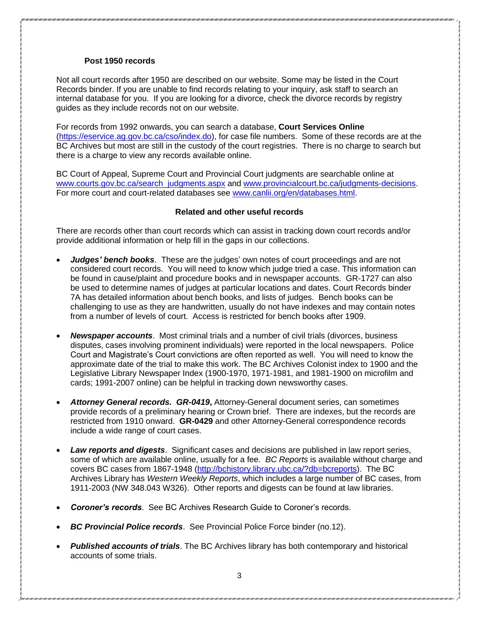## **Post 1950 records**

Not all court records after 1950 are described on our website. Some may be listed in the Court Records binder. If you are unable to find records relating to your inquiry, ask staff to search an internal database for you. If you are looking for a divorce, check the divorce records by registry guides as they include records not on our website.

For records from 1992 onwards, you can search a database, **Court Services Online** [\(https://eservice.ag.gov.bc.ca/cso/index.do\)](https://eservice.ag.gov.bc.ca/cso/index.do), for case file numbers. Some of these records are at the BC Archives but most are still in the custody of the court registries. There is no charge to search but there is a charge to view any records available online.

BC Court of Appeal, Supreme Court and Provincial Court judgments are searchable online at [www.courts.gov.bc.ca/search\\_judgments.aspx](http://www.courts.gov.bc.ca/search_judgments.aspx) and [www.provincialcourt.bc.ca/judgments-decisions.](http://www.provincialcourt.bc.ca/judgments-decisions) For more court and court-related databases see [www.canlii.org/en/databases.html.](http://www.canlii.org/en/databases.html)

## **Related and other useful records**

There are records other than court records which can assist in tracking down court records and/or provide additional information or help fill in the gaps in our collections.

- *Judges' bench books*. These are the judges' own notes of court proceedings and are not considered court records. You will need to know which judge tried a case. This information can be found in cause/plaint and procedure books and in newspaper accounts. GR-1727 can also be used to determine names of judges at particular locations and dates. Court Records binder 7A has detailed information about bench books, and lists of judges. Bench books can be challenging to use as they are handwritten, usually do not have indexes and may contain notes from a number of levels of court. Access is restricted for bench books after 1909.
- *Newspaper accounts*. Most criminal trials and a number of civil trials (divorces, business disputes, cases involving prominent individuals) were reported in the local newspapers. Police Court and Magistrate's Court convictions are often reported as well. You will need to know the approximate date of the trial to make this work. The BC Archives Colonist index to 1900 and the Legislative Library Newspaper Index (1900-1970, 1971-1981, and 1981-1900 on microfilm and cards; 1991-2007 online) can be helpful in tracking down newsworthy cases.
- *Attorney General records. GR-0419***,** Attorney-General document series, can sometimes provide records of a preliminary hearing or Crown brief. There are indexes, but the records are restricted from 1910 onward. **GR-0429** and other Attorney-General correspondence records include a wide range of court cases.
- *Law reports and digests*. Significant cases and decisions are published in law report series, some of which are available online, usually for a fee. *BC Reports* is available without charge and covers BC cases from 1867-1948 [\(http://bchistory.library.ubc.ca/?db=bcreports\)](http://bchistory.library.ubc.ca/?db=bcreports). The BC Archives Library has *Western Weekly Reports*, which includes a large number of BC cases, from 1911-2003 (NW 348.043 W326). Other reports and digests can be found at law libraries.
- *Coroner's records*. See BC Archives Research Guide to Coroner's records.
- *BC Provincial Police records*. See Provincial Police Force binder (no.12).
- *Published accounts of trials*. The BC Archives library has both contemporary and historical accounts of some trials.